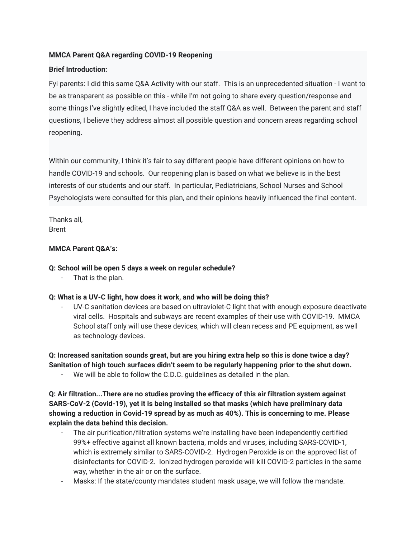#### **MMCA Parent Q&A regarding COVID-19 Reopening**

#### **Brief Introduction:**

Fyi parents: I did this same Q&A Activity with our staff. This is an unprecedented situation - I want to be as transparent as possible on this - while I'm not going to share every question/response and some things I've slightly edited, I have included the staff Q&A as well. Between the parent and staff questions, I believe they address almost all possible question and concern areas regarding school reopening.

Within our community, I think it's fair to say different people have different opinions on how to handle COVID-19 and schools. Our reopening plan is based on what we believe is in the best interests of our students and our staff. In particular, Pediatricians, School Nurses and School Psychologists were consulted for this plan, and their opinions heavily influenced the final content.

Thanks all, Brent

#### **MMCA Parent Q&A's:**

#### **Q: School will be open 5 days a week on regular schedule?**

That is the plan.

#### **Q: What is a UV-C light, how does it work, and who will be doing this?**

UV-C sanitation devices are based on ultraviolet-C light that with enough exposure deactivate viral cells. Hospitals and subways are recent examples of their use with COVID-19. MMCA School staff only will use these devices, which will clean recess and PE equipment, as well as technology devices.

**Q: Increased sanitation sounds great, but are you hiring extra help so this is done twice a day? Sanitation of high touch surfaces didn't seem to be regularly happening prior to the shut down.**

We will be able to follow the C.D.C. guidelines as detailed in the plan.

**Q: Air filtration...There are no studies proving the efficacy of this air filtration system against SARS-CoV-2 (Covid-19), yet it is being installed so that masks (which have preliminary data showing a reduction in Covid-19 spread by as much as 40%). This is concerning to me. Please explain the data behind this decision.**

- The air purification/filtration systems we're installing have been independently certified 99%+ effective against all known bacteria, molds and viruses, including SARS-COVID-1, which is extremely similar to SARS-COVID-2. Hydrogen Peroxide is on the approved list of disinfectants for COVID-2. Ionized hydrogen peroxide will kill COVID-2 particles in the same way, whether in the air or on the surface.
- Masks: If the state/county mandates student mask usage, we will follow the mandate.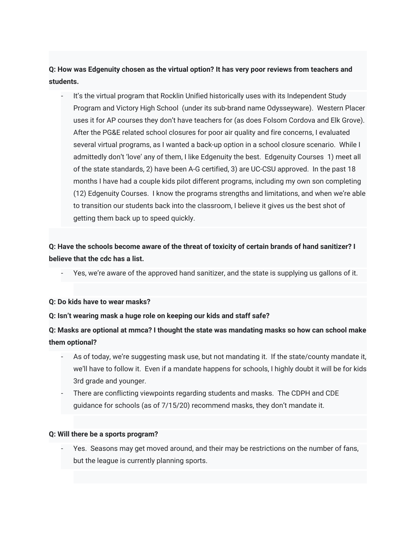**Q: How was Edgenuity chosen as the virtual option? It has very poor reviews from teachers and students.**

It's the virtual program that Rocklin Unified historically uses with its Independent Study Program and Victory High School (under its sub-brand name Odysseyware). Western Placer uses it for AP courses they don't have teachers for (as does Folsom Cordova and Elk Grove). After the PG&E related school closures for poor air quality and fire concerns, I evaluated several virtual programs, as I wanted a back-up option in a school closure scenario. While I admittedly don't 'love' any of them, I like Edgenuity the best. Edgenuity Courses 1) meet all of the state standards, 2) have been A-G certified, 3) are UC-CSU approved. In the past 18 months I have had a couple kids pilot different programs, including my own son completing (12) Edgenuity Courses. I know the programs strengths and limitations, and when we're able to transition our students back into the classroom, I believe it gives us the best shot of getting them back up to speed quickly.

# **Q: Have the schools become aware of the threat of toxicity of certain brands of hand sanitizer? I believe that the cdc has a list.**

Yes, we're aware of the approved hand sanitizer, and the state is supplying us gallons of it.

#### **Q: Do kids have to wear masks?**

#### **Q: Isn't wearing mask a huge role on keeping our kids and staff safe?**

# **Q: Masks are optional at mmca? I thought the state was mandating masks so how can school make them optional?**

- As of today, we're suggesting mask use, but not mandating it. If the state/county mandate it, we'll have to follow it. Even if a mandate happens for schools, I highly doubt it will be for kids 3rd grade and younger.
- There are conflicting viewpoints regarding students and masks. The CDPH and CDE guidance for schools (as of 7/15/20) recommend masks, they don't mandate it.

#### **Q: Will there be a sports program?**

Yes. Seasons may get moved around, and their may be restrictions on the number of fans, but the league is currently planning sports.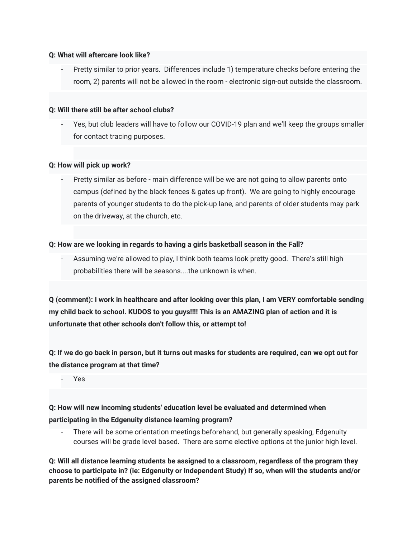#### **Q: What will aftercare look like?**

- Pretty similar to prior years. Differences include 1) temperature checks before entering the room, 2) parents will not be allowed in the room - electronic sign-out outside the classroom.

#### **Q: Will there still be after school clubs?**

Yes, but club leaders will have to follow our COVID-19 plan and we'll keep the groups smaller for contact tracing purposes.

#### **Q: How will pick up work?**

Pretty similar as before - main difference will be we are not going to allow parents onto campus (defined by the black fences & gates up front). We are going to highly encourage parents of younger students to do the pick-up lane, and parents of older students may park on the driveway, at the church, etc.

#### **Q: How are we looking in regards to having a girls basketball season in the Fall?**

- Assuming we're allowed to play, I think both teams look pretty good. There's still high probabilities there will be seasons....the unknown is when.

**Q (comment): I work in healthcare and after looking over this plan, I am VERY comfortable sending my child back to school. KUDOS to you guys!!!! This is an AMAZING plan of action and it is unfortunate that other schools don't follow this, or attempt to!**

**Q: If we do go back in person, but it turns out masks for students are required, can we opt out for the distance program at that time?**

- Yes

# **Q: How will new incoming students' education level be evaluated and determined when participating in the Edgenuity distance learning program?**

There will be some orientation meetings beforehand, but generally speaking, Edgenuity courses will be grade level based. There are some elective options at the junior high level.

**Q: Will all distance learning students be assigned to a classroom, regardless of the program they choose to participate in? (ie: Edgenuity or Independent Study) If so, when will the students and/or parents be notified of the assigned classroom?**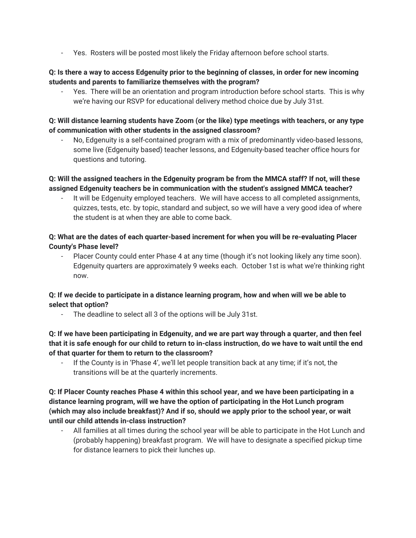- Yes. Rosters will be posted most likely the Friday afternoon before school starts.

#### **Q: Is there a way to access Edgenuity prior to the beginning of classes, in order for new incoming students and parents to familiarize themselves with the program?**

Yes. There will be an orientation and program introduction before school starts. This is why we're having our RSVP for educational delivery method choice due by July 31st.

#### **Q: Will distance learning students have Zoom (or the like) type meetings with teachers, or any type of communication with other students in the assigned classroom?**

No, Edgenuity is a self-contained program with a mix of predominantly video-based lessons, some live (Edgenuity based) teacher lessons, and Edgenuity-based teacher office hours for questions and tutoring.

### **Q: Will the assigned teachers in the Edgenuity program be from the MMCA staff? If not, will these assigned Edgenuity teachers be in communication with the student's assigned MMCA teacher?**

It will be Edgenuity employed teachers. We will have access to all completed assignments, quizzes, tests, etc. by topic, standard and subject, so we will have a very good idea of where the student is at when they are able to come back.

### **Q: What are the dates of each quarter-based increment for when you will be re-evaluating Placer County's Phase level?**

- Placer County could enter Phase 4 at any time (though it's not looking likely any time soon). Edgenuity quarters are approximately 9 weeks each. October 1st is what we're thinking right now.

### **Q: If we decide to participate in a distance learning program, how and when will we be able to select that option?**

The deadline to select all 3 of the options will be July 31st.

### **Q: If we have been participating in Edgenuity, and we are part way through a quarter, and then feel that it is safe enough for our child to return to in-class instruction, do we have to wait until the end of that quarter for them to return to the classroom?**

If the County is in 'Phase 4', we'll let people transition back at any time; if it's not, the transitions will be at the quarterly increments.

### **Q: If Placer County reaches Phase 4 within this school year, and we have been participating in a distance learning program, will we have the option of participating in the Hot Lunch program (which may also include breakfast)? And if so, should we apply prior to the school year, or wait until our child attends in-class instruction?**

All families at all times during the school year will be able to participate in the Hot Lunch and (probably happening) breakfast program. We will have to designate a specified pickup time for distance learners to pick their lunches up.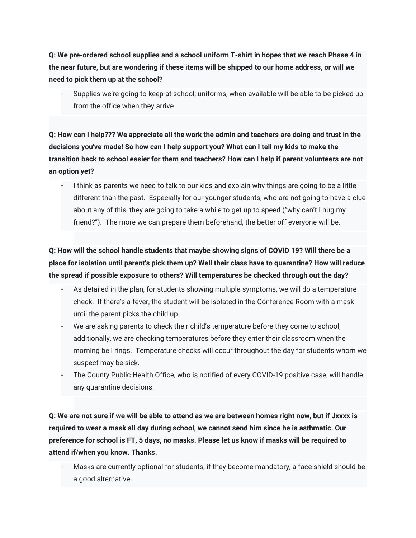**Q: We pre-ordered school supplies and a school uniform T-shirt in hopes that we reach Phase 4 in the near future, but are wondering if these items will be shipped to our home address, or will we need to pick them up at the school?**

Supplies we're going to keep at school; uniforms, when available will be able to be picked up from the office when they arrive.

**Q: How can I help??? We appreciate all the work the admin and teachers are doing and trust in the decisions you've made! So how can I help support you? What can I tell my kids to make the transition back to school easier for them and teachers? How can I help if parent volunteers are not an option yet?**

I think as parents we need to talk to our kids and explain why things are going to be a little different than the past. Especially for our younger students, who are not going to have a clue about any of this, they are going to take a while to get up to speed ("why can't I hug my friend?"). The more we can prepare them beforehand, the better off everyone will be.

**Q: How will the school handle students that maybe showing signs of COVID 19? Will there be a place for isolation until parent's pick them up? Well their class have to quarantine? How will reduce the spread if possible exposure to others? Will temperatures be checked through out the day?**

- As detailed in the plan, for students showing multiple symptoms, we will do a temperature check. If there's a fever, the student will be isolated in the Conference Room with a mask until the parent picks the child up.
- We are asking parents to check their child's temperature before they come to school; additionally, we are checking temperatures before they enter their classroom when the morning bell rings. Temperature checks will occur throughout the day for students whom we suspect may be sick.
- The County Public Health Office, who is notified of every COVID-19 positive case, will handle any quarantine decisions.

**Q: We are not sure if we will be able to attend as we are between homes right now, but if Jxxxx is required to wear a mask all day during school, we cannot send him since he is asthmatic. Our preference for school is FT, 5 days, no masks. Please let us know if masks will be required to attend if/when you know. Thanks.**

Masks are currently optional for students; if they become mandatory, a face shield should be a good alternative.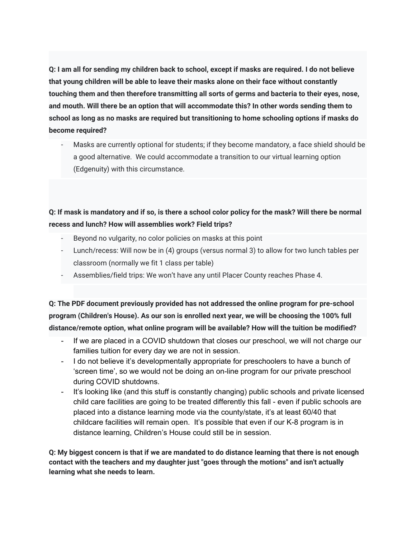**Q: I am all for sending my children back to school, except if masks are required. I do not believe that young children will be able to leave their masks alone on their face without constantly touching them and then therefore transmitting all sorts of germs and bacteria to their eyes, nose, and mouth. Will there be an option that will accommodate this? In other words sending them to school as long as no masks are required but transitioning to home schooling options if masks do become required?**

Masks are currently optional for students; if they become mandatory, a face shield should be a good alternative. We could accommodate a transition to our virtual learning option (Edgenuity) with this circumstance.

# **Q: If mask is mandatory and if so, is there a school color policy for the mask? Will there be normal recess and lunch? How will assemblies work? Field trips?**

- Beyond no vulgarity, no color policies on masks at this point
- Lunch/recess: Will now be in (4) groups (versus normal 3) to allow for two lunch tables per classroom (normally we fit 1 class per table)
- Assemblies/field trips: We won't have any until Placer County reaches Phase 4.

**Q: The PDF document previously provided has not addressed the online program for pre-school program (Children's House). As our son is enrolled next year, we will be choosing the 100% full distance/remote option, what online program will be available? How will the tuition be modified?**

- If we are placed in a COVID shutdown that closes our preschool, we will not charge our families tuition for every day we are not in session.
- I do not believe it's developmentally appropriate for preschoolers to have a bunch of 'screen time', so we would not be doing an on-line program for our private preschool during COVID shutdowns.
- It's looking like (and this stuff is constantly changing) public schools and private licensed child care facilities are going to be treated differently this fall - even if public schools are placed into a distance learning mode via the county/state, it's at least 60/40 that childcare facilities will remain open. It's possible that even if our K-8 program is in distance learning, Children's House could still be in session.

**Q: My biggest concern is that if we are mandated to do distance learning that there is not enough contact with the teachers and my daughter just "goes through the motions" and isn't actually learning what she needs to learn.**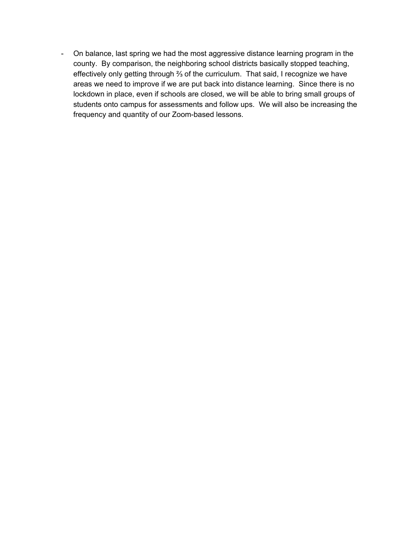- On balance, last spring we had the most aggressive distance learning program in the county. By comparison, the neighboring school districts basically stopped teaching, effectively only getting through ⅔ of the curriculum. That said, I recognize we have areas we need to improve if we are put back into distance learning. Since there is no lockdown in place, even if schools are closed, we will be able to bring small groups of students onto campus for assessments and follow ups. We will also be increasing the frequency and quantity of our Zoom-based lessons.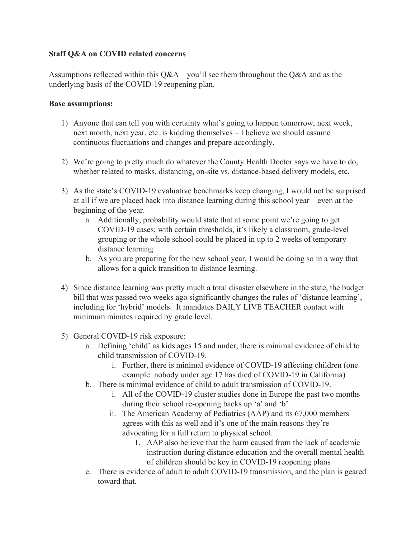### **Staff Q&A on COVID related concerns**

Assumptions reflected within this  $Q&A - you'll$  see them throughout the  $Q&A$  and as the underlying basis of the COVID-19 reopening plan.

#### **Base assumptions:**

- 1) Anyone that can tell you with certainty what's going to happen tomorrow, next week, next month, next year, etc. is kidding themselves – I believe we should assume continuous fluctuations and changes and prepare accordingly.
- 2) We're going to pretty much do whatever the County Health Doctor says we have to do, whether related to masks, distancing, on-site vs. distance-based delivery models, etc.
- 3) As the state's COVID-19 evaluative benchmarks keep changing, I would not be surprised at all if we are placed back into distance learning during this school year – even at the beginning of the year.
	- a. Additionally, probability would state that at some point we're going to get COVID-19 cases; with certain thresholds, it's likely a classroom, grade-level grouping or the whole school could be placed in up to 2 weeks of temporary distance learning
	- b. As you are preparing for the new school year, I would be doing so in a way that allows for a quick transition to distance learning.
- 4) Since distance learning was pretty much a total disaster elsewhere in the state, the budget bill that was passed two weeks ago significantly changes the rules of 'distance learning', including for 'hybrid' models. It mandates DAILY LIVE TEACHER contact with minimum minutes required by grade level.
- 5) General COVID-19 risk exposure:
	- a. Defining 'child' as kids ages 15 and under, there is minimal evidence of child to child transmission of COVID-19.
		- i. Further, there is minimal evidence of COVID-19 affecting children (one example: nobody under age 17 has died of COVID-19 in California)
	- b. There is minimal evidence of child to adult transmission of COVID-19.
		- i. All of the COVID-19 cluster studies done in Europe the past two months during their school re-opening backs up 'a' and 'b'
		- ii. The American Academy of Pediatrics (AAP) and its 67,000 members agrees with this as well and it's one of the main reasons they're advocating for a full return to physical school.
			- 1. AAP also believe that the harm caused from the lack of academic instruction during distance education and the overall mental health of children should be key in COVID-19 reopening plans
	- c. There is evidence of adult to adult COVID-19 transmission, and the plan is geared toward that.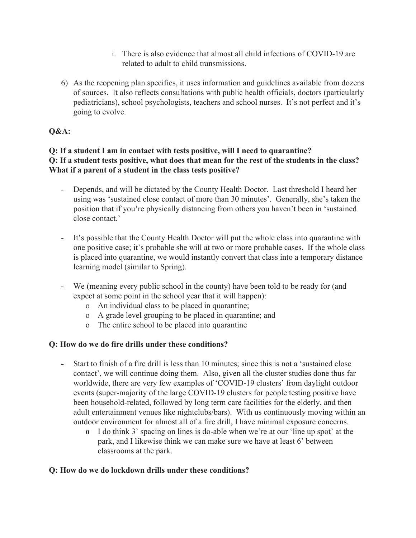- i. There is also evidence that almost all child infections of COVID-19 are related to adult to child transmissions.
- 6) As the reopening plan specifies, it uses information and guidelines available from dozens of sources. It also reflects consultations with public health officials, doctors (particularly pediatricians), school psychologists, teachers and school nurses. It's not perfect and it's going to evolve.

# **Q&A:**

# **Q: If a student I am in contact with tests positive, will I need to quarantine? Q: If a student tests positive, what does that mean for the rest of the students in the class? What if a parent of a student in the class tests positive?**

- Depends, and will be dictated by the County Health Doctor. Last threshold I heard her using was 'sustained close contact of more than 30 minutes'. Generally, she's taken the position that if you're physically distancing from others you haven't been in 'sustained close contact.'
- It's possible that the County Health Doctor will put the whole class into quarantine with one positive case; it's probable she will at two or more probable cases. If the whole class is placed into quarantine, we would instantly convert that class into a temporary distance learning model (similar to Spring).
- We (meaning every public school in the county) have been told to be ready for (and expect at some point in the school year that it will happen):
	- o An individual class to be placed in quarantine;
	- o A grade level grouping to be placed in quarantine; and
	- o The entire school to be placed into quarantine

# **Q: How do we do fire drills under these conditions?**

- **-** Start to finish of a fire drill is less than 10 minutes; since this is not a 'sustained close contact', we will continue doing them. Also, given all the cluster studies done thus far worldwide, there are very few examples of 'COVID-19 clusters' from daylight outdoor events (super-majority of the large COVID-19 clusters for people testing positive have been household-related, followed by long term care facilities for the elderly, and then adult entertainment venues like nightclubs/bars). With us continuously moving within an outdoor environment for almost all of a fire drill, I have minimal exposure concerns.
	- **o** I do think 3' spacing on lines is do-able when we're at our 'line up spot' at the park, and I likewise think we can make sure we have at least 6' between classrooms at the park.

# **Q: How do we do lockdown drills under these conditions?**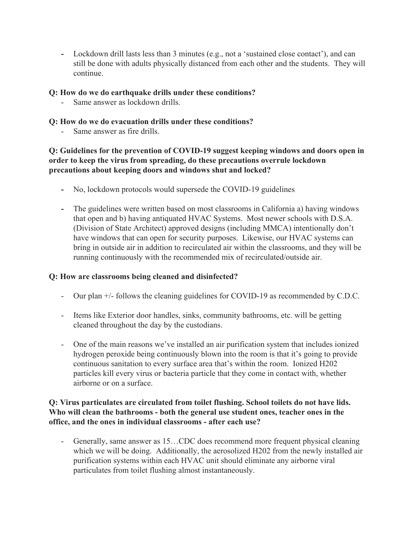**-** Lockdown drill lasts less than 3 minutes (e.g., not a 'sustained close contact'), and can still be done with adults physically distanced from each other and the students. They will continue.

# **Q: How do we do earthquake drills under these conditions?**

- Same answer as lockdown drills.

## **Q: How do we do evacuation drills under these conditions?**

- Same answer as fire drills.

# **Q: Guidelines for the prevention of COVID-19 suggest keeping windows and doors open in order to keep the virus from spreading, do these precautions overrule lockdown precautions about keeping doors and windows shut and locked?**

- **-** No, lockdown protocols would supersede the COVID-19 guidelines
- **-** The guidelines were written based on most classrooms in California a) having windows that open and b) having antiquated HVAC Systems. Most newer schools with D.S.A. (Division of State Architect) approved designs (including MMCA) intentionally don't have windows that can open for security purposes. Likewise, our HVAC systems can bring in outside air in addition to recirculated air within the classrooms, and they will be running continuously with the recommended mix of recirculated/outside air.

### **Q: How are classrooms being cleaned and disinfected?**

- Our plan +/- follows the cleaning guidelines for COVID-19 as recommended by C.D.C.
- Items like Exterior door handles, sinks, community bathrooms, etc. will be getting cleaned throughout the day by the custodians.
- One of the main reasons we've installed an air purification system that includes ionized hydrogen peroxide being continuously blown into the room is that it's going to provide continuous sanitation to every surface area that's within the room. Ionized H202 particles kill every virus or bacteria particle that they come in contact with, whether airborne or on a surface.

### **Q: Virus particulates are circulated from toilet flushing. School toilets do not have lids. Who will clean the bathrooms - both the general use student ones, teacher ones in the office, and the ones in individual classrooms - after each use?**

- Generally, same answer as 15…CDC does recommend more frequent physical cleaning which we will be doing. Additionally, the aerosolized H202 from the newly installed air purification systems within each HVAC unit should eliminate any airborne viral particulates from toilet flushing almost instantaneously.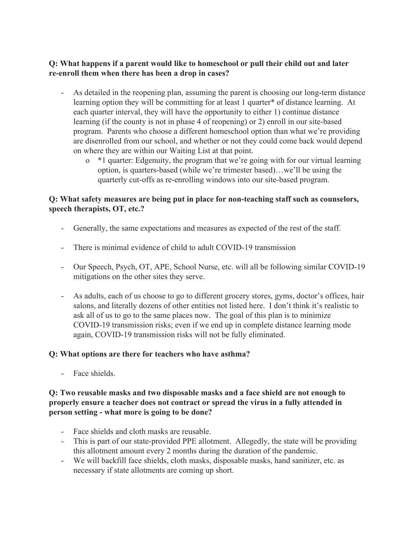# **Q: What happens if a parent would like to homeschool or pull their child out and later re-enroll them when there has been a drop in cases?**

- As detailed in the reopening plan, assuming the parent is choosing our long-term distance learning option they will be committing for at least 1 quarter\* of distance learning. At each quarter interval, they will have the opportunity to either 1) continue distance learning (if the county is not in phase 4 of reopening) or 2) enroll in our site-based program. Parents who choose a different homeschool option than what we're providing are disenrolled from our school, and whether or not they could come back would depend on where they are within our Waiting List at that point.
	- o \*1 quarter: Edgenuity, the program that we're going with for our virtual learning option, is quarters-based (while we're trimester based)…we'll be using the quarterly cut-offs as re-enrolling windows into our site-based program.

# **Q: What safety measures are being put in place for non-teaching staff such as counselors, speech therapists, OT, etc.?**

- Generally, the same expectations and measures as expected of the rest of the staff.
- There is minimal evidence of child to adult COVID-19 transmission
- Our Speech, Psych, OT, APE, School Nurse, etc. will all be following similar COVID-19 mitigations on the other sites they serve.
- As adults, each of us choose to go to different grocery stores, gyms, doctor's offices, hair salons, and literally dozens of other entities not listed here. I don't think it's realistic to ask all of us to go to the same places now. The goal of this plan is to minimize COVID-19 transmission risks; even if we end up in complete distance learning mode again, COVID-19 transmission risks will not be fully eliminated.

### **Q: What options are there for teachers who have asthma?**

- Face shields.

### **Q: Two reusable masks and two disposable masks and a face shield are not enough to properly ensure a teacher does not contract or spread the virus in a fully attended in person setting - what more is going to be done?**

- Face shields and cloth masks are reusable.
- This is part of our state-provided PPE allotment. Allegedly, the state will be providing this allotment amount every 2 months during the duration of the pandemic.
- We will backfill face shields, cloth masks, disposable masks, hand sanitizer, etc. as necessary if state allotments are coming up short.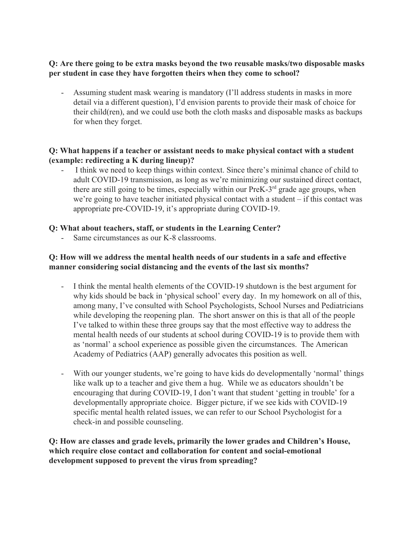## **Q: Are there going to be extra masks beyond the two reusable masks/two disposable masks per student in case they have forgotten theirs when they come to school?**

- Assuming student mask wearing is mandatory (I'll address students in masks in more detail via a different question), I'd envision parents to provide their mask of choice for their child(ren), and we could use both the cloth masks and disposable masks as backups for when they forget.

# **Q: What happens if a teacher or assistant needs to make physical contact with a student (example: redirecting a K during lineup)?**

- I think we need to keep things within context. Since there's minimal chance of child to adult COVID-19 transmission, as long as we're minimizing our sustained direct contact, there are still going to be times, especially within our PreK-3<sup>rd</sup> grade age groups, when we're going to have teacher initiated physical contact with a student – if this contact was appropriate pre-COVID-19, it's appropriate during COVID-19.

# **Q: What about teachers, staff, or students in the Learning Center?**

Same circumstances as our K-8 classrooms.

# **Q: How will we address the mental health needs of our students in a safe and effective manner considering social distancing and the events of the last six months?**

- I think the mental health elements of the COVID-19 shutdown is the best argument for why kids should be back in 'physical school' every day. In my homework on all of this, among many, I've consulted with School Psychologists, School Nurses and Pediatricians while developing the reopening plan. The short answer on this is that all of the people I've talked to within these three groups say that the most effective way to address the mental health needs of our students at school during COVID-19 is to provide them with as 'normal' a school experience as possible given the circumstances. The American Academy of Pediatrics (AAP) generally advocates this position as well.
- With our younger students, we're going to have kids do developmentally 'normal' things like walk up to a teacher and give them a hug. While we as educators shouldn't be encouraging that during COVID-19, I don't want that student 'getting in trouble' for a developmentally appropriate choice. Bigger picture, if we see kids with COVID-19 specific mental health related issues, we can refer to our School Psychologist for a check-in and possible counseling.

**Q: How are classes and grade levels, primarily the lower grades and Children's House, which require close contact and collaboration for content and social-emotional development supposed to prevent the virus from spreading?**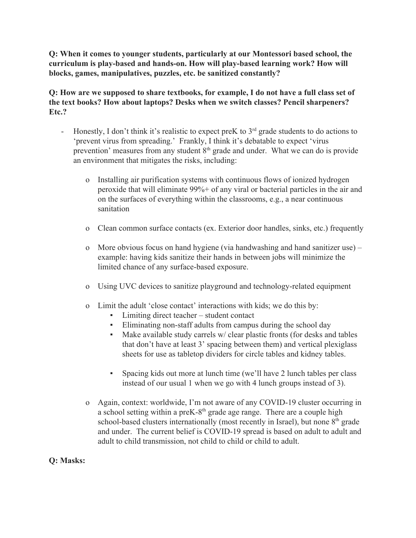**Q: When it comes to younger students, particularly at our Montessori based school, the curriculum is play-based and hands-on. How will play-based learning work? How will blocks, games, manipulatives, puzzles, etc. be sanitized constantly?**

**Q: How are we supposed to share textbooks, for example, I do not have a full class set of the text books? How about laptops? Desks when we switch classes? Pencil sharpeners? Etc.?**

- Honestly, I don't think it's realistic to expect preK to  $3<sup>rd</sup>$  grade students to do actions to 'prevent virus from spreading.' Frankly, I think it's debatable to expect 'virus prevention' measures from any student 8<sup>th</sup> grade and under. What we can do is provide an environment that mitigates the risks, including:
	- o Installing air purification systems with continuous flows of ionized hydrogen peroxide that will eliminate 99%+ of any viral or bacterial particles in the air and on the surfaces of everything within the classrooms, e.g., a near continuous sanitation
	- o Clean common surface contacts (ex. Exterior door handles, sinks, etc.) frequently
	- o More obvious focus on hand hygiene (via handwashing and hand sanitizer use) example: having kids sanitize their hands in between jobs will minimize the limited chance of any surface-based exposure.
	- o Using UVC devices to sanitize playground and technology-related equipment
	- o Limit the adult 'close contact' interactions with kids; we do this by:
		- Limiting direct teacher student contact
		- Eliminating non-staff adults from campus during the school day
		- Make available study carrels w/ clear plastic fronts (for desks and tables that don't have at least 3' spacing between them) and vertical plexiglass sheets for use as tabletop dividers for circle tables and kidney tables.
		- Spacing kids out more at lunch time (we'll have 2 lunch tables per class instead of our usual 1 when we go with 4 lunch groups instead of 3).
	- o Again, context: worldwide, I'm not aware of any COVID-19 cluster occurring in a school setting within a preK-8<sup>th</sup> grade age range. There are a couple high school-based clusters internationally (most recently in Israel), but none  $8<sup>th</sup>$  grade and under. The current belief is COVID-19 spread is based on adult to adult and adult to child transmission, not child to child or child to adult.

# **Q: Masks:**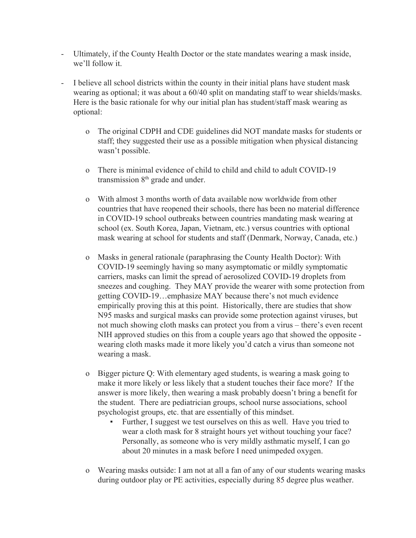- Ultimately, if the County Health Doctor or the state mandates wearing a mask inside, we'll follow it.
- I believe all school districts within the county in their initial plans have student mask wearing as optional; it was about a 60/40 split on mandating staff to wear shields/masks. Here is the basic rationale for why our initial plan has student/staff mask wearing as optional:
	- o The original CDPH and CDE guidelines did NOT mandate masks for students or staff; they suggested their use as a possible mitigation when physical distancing wasn't possible.
	- o There is minimal evidence of child to child and child to adult COVID-19 transmission  $8<sup>th</sup>$  grade and under.
	- o With almost 3 months worth of data available now worldwide from other countries that have reopened their schools, there has been no material difference in COVID-19 school outbreaks between countries mandating mask wearing at school (ex. South Korea, Japan, Vietnam, etc.) versus countries with optional mask wearing at school for students and staff (Denmark, Norway, Canada, etc.)
	- o Masks in general rationale (paraphrasing the County Health Doctor): With COVID-19 seemingly having so many asymptomatic or mildly symptomatic carriers, masks can limit the spread of aerosolized COVID-19 droplets from sneezes and coughing. They MAY provide the wearer with some protection from getting COVID-19…emphasize MAY because there's not much evidence empirically proving this at this point. Historically, there are studies that show N95 masks and surgical masks can provide some protection against viruses, but not much showing cloth masks can protect you from a virus – there's even recent NIH approved studies on this from a couple years ago that showed the opposite wearing cloth masks made it more likely you'd catch a virus than someone not wearing a mask.
	- o Bigger picture Q: With elementary aged students, is wearing a mask going to make it more likely or less likely that a student touches their face more? If the answer is more likely, then wearing a mask probably doesn't bring a benefit for the student. There are pediatrician groups, school nurse associations, school psychologist groups, etc. that are essentially of this mindset.
		- Further, I suggest we test ourselves on this as well. Have you tried to wear a cloth mask for 8 straight hours yet without touching your face? Personally, as someone who is very mildly asthmatic myself, I can go about 20 minutes in a mask before I need unimpeded oxygen.
	- o Wearing masks outside: I am not at all a fan of any of our students wearing masks during outdoor play or PE activities, especially during 85 degree plus weather.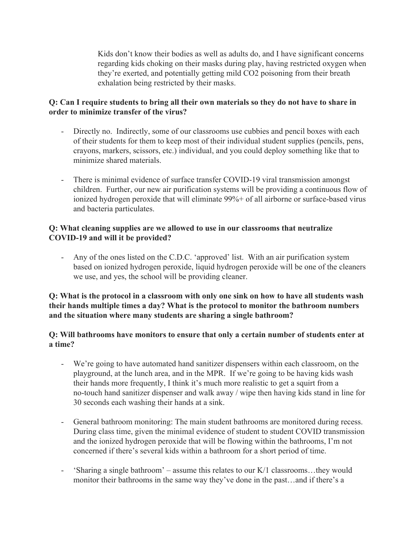Kids don't know their bodies as well as adults do, and I have significant concerns regarding kids choking on their masks during play, having restricted oxygen when they're exerted, and potentially getting mild CO2 poisoning from their breath exhalation being restricted by their masks.

# **Q: Can I require students to bring all their own materials so they do not have to share in order to minimize transfer of the virus?**

- Directly no. Indirectly, some of our classrooms use cubbies and pencil boxes with each of their students for them to keep most of their individual student supplies (pencils, pens, crayons, markers, scissors, etc.) individual, and you could deploy something like that to minimize shared materials.
- There is minimal evidence of surface transfer COVID-19 viral transmission amongst children. Further, our new air purification systems will be providing a continuous flow of ionized hydrogen peroxide that will eliminate 99%+ of all airborne or surface-based virus and bacteria particulates.

# **Q: What cleaning supplies are we allowed to use in our classrooms that neutralize COVID-19 and will it be provided?**

- Any of the ones listed on the C.D.C. 'approved' list. With an air purification system based on ionized hydrogen peroxide, liquid hydrogen peroxide will be one of the cleaners we use, and yes, the school will be providing cleaner.

### **Q: What is the protocol in a classroom with only one sink on how to have all students wash their hands multiple times a day? What is the protocol to monitor the bathroom numbers and the situation where many students are sharing a single bathroom?**

# **Q: Will bathrooms have monitors to ensure that only a certain number of students enter at a time?**

- We're going to have automated hand sanitizer dispensers within each classroom, on the playground, at the lunch area, and in the MPR. If we're going to be having kids wash their hands more frequently, I think it's much more realistic to get a squirt from a no-touch hand sanitizer dispenser and walk away / wipe then having kids stand in line for 30 seconds each washing their hands at a sink.
- General bathroom monitoring: The main student bathrooms are monitored during recess. During class time, given the minimal evidence of student to student COVID transmission and the ionized hydrogen peroxide that will be flowing within the bathrooms, I'm not concerned if there's several kids within a bathroom for a short period of time.
- 'Sharing a single bathroom' assume this relates to our K/1 classrooms…they would monitor their bathrooms in the same way they've done in the past…and if there's a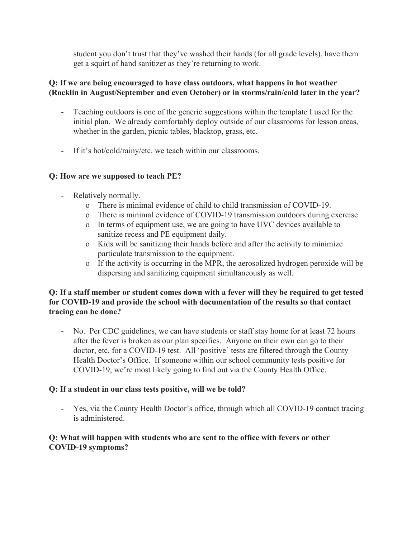student you don't trust that they've washed their hands (for all grade levels), have them get a squirt of hand sanitizer as they're returning to work.

# **Q: If we are being encouraged to have class outdoors, what happens in hot weather (Rocklin in August/September and even October) or in storms/rain/cold later in the year?**

- Teaching outdoors is one of the generic suggestions within the template I used for the initial plan. We already comfortably deploy outside of our classrooms for lesson areas, whether in the garden, picnic tables, blacktop, grass, etc.
- If it's hot/cold/rainy/etc. we teach within our classrooms.

# **Q: How are we supposed to teach PE?**

- Relatively normally.
	- o There is minimal evidence of child to child transmission of COVID-19.
	- o There is minimal evidence of COVID-19 transmission outdoors during exercise
	- o In terms of equipment use, we are going to have UVC devices available to sanitize recess and PE equipment daily.
	- o Kids will be sanitizing their hands before and after the activity to minimize particulate transmission to the equipment.
	- o If the activity is occurring in the MPR, the aerosolized hydrogen peroxide will be dispersing and sanitizing equipment simultaneously as well.

# **Q: If a staff member or student comes down with a fever will they be required to get tested for COVID-19 and provide the school with documentation of the results so that contact tracing can be done?**

- No. Per CDC guidelines, we can have students or staff stay home for at least 72 hours after the fever is broken as our plan specifies. Anyone on their own can go to their doctor, etc. for a COVID-19 test. All 'positive' tests are filtered through the County Health Doctor's Office. If someone within our school community tests positive for COVID-19, we're most likely going to find out via the County Health Office.

# **Q: If a student in our class tests positive, will we be told?**

- Yes, via the County Health Doctor's office, through which all COVID-19 contact tracing is administered.

# **Q: What will happen with students who are sent to the office with fevers or other COVID-19 symptoms?**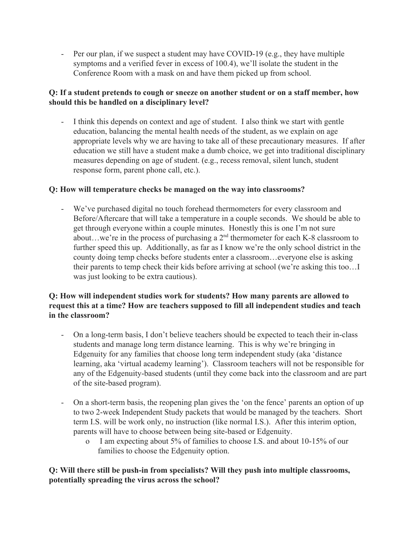- Per our plan, if we suspect a student may have COVID-19 (e.g., they have multiple symptoms and a verified fever in excess of 100.4), we'll isolate the student in the Conference Room with a mask on and have them picked up from school.

# **Q: If a student pretends to cough or sneeze on another student or on a staff member, how should this be handled on a disciplinary level?**

I think this depends on context and age of student. I also think we start with gentle education, balancing the mental health needs of the student, as we explain on age appropriate levels why we are having to take all of these precautionary measures. If after education we still have a student make a dumb choice, we get into traditional disciplinary measures depending on age of student. (e.g., recess removal, silent lunch, student response form, parent phone call, etc.).

# **Q: How will temperature checks be managed on the way into classrooms?**

- We've purchased digital no touch forehead thermometers for every classroom and Before/Aftercare that will take a temperature in a couple seconds. We should be able to get through everyone within a couple minutes. Honestly this is one I'm not sure about...we're in the process of purchasing a  $2<sup>nd</sup>$  thermometer for each K-8 classroom to further speed this up. Additionally, as far as I know we're the only school district in the county doing temp checks before students enter a classroom…everyone else is asking their parents to temp check their kids before arriving at school (we're asking this too…I was just looking to be extra cautious).

# **Q: How will independent studies work for students? How many parents are allowed to request this at a time? How are teachers supposed to fill all independent studies and teach in the classroom?**

- On a long-term basis, I don't believe teachers should be expected to teach their in-class students and manage long term distance learning. This is why we're bringing in Edgenuity for any families that choose long term independent study (aka 'distance learning, aka 'virtual academy learning'). Classroom teachers will not be responsible for any of the Edgenuity-based students (until they come back into the classroom and are part of the site-based program).
- On a short-term basis, the reopening plan gives the 'on the fence' parents an option of up to two 2-week Independent Study packets that would be managed by the teachers. Short term I.S. will be work only, no instruction (like normal I.S.). After this interim option, parents will have to choose between being site-based or Edgenuity.
	- o I am expecting about 5% of families to choose I.S. and about 10-15% of our families to choose the Edgenuity option.

# **Q: Will there still be push-in from specialists? Will they push into multiple classrooms, potentially spreading the virus across the school?**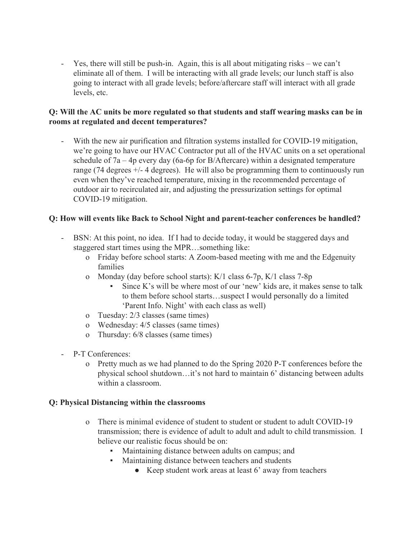- Yes, there will still be push-in. Again, this is all about mitigating risks – we can't eliminate all of them. I will be interacting with all grade levels; our lunch staff is also going to interact with all grade levels; before/aftercare staff will interact with all grade levels, etc.

## **Q: Will the AC units be more regulated so that students and staff wearing masks can be in rooms at regulated and decent temperatures?**

With the new air purification and filtration systems installed for COVID-19 mitigation, we're going to have our HVAC Contractor put all of the HVAC units on a set operational schedule of 7a – 4p every day (6a-6p for B/Aftercare) within a designated temperature range (74 degrees +/- 4 degrees). He will also be programming them to continuously run even when they've reached temperature, mixing in the recommended percentage of outdoor air to recirculated air, and adjusting the pressurization settings for optimal COVID-19 mitigation.

# **Q: How will events like Back to School Night and parent-teacher conferences be handled?**

- BSN: At this point, no idea. If I had to decide today, it would be staggered days and staggered start times using the MPR…something like:
	- o Friday before school starts: A Zoom-based meeting with me and the Edgenuity families
	- o Monday (day before school starts): K/1 class 6-7p, K/1 class 7-8p
		- Since K's will be where most of our 'new' kids are, it makes sense to talk to them before school starts…suspect I would personally do a limited 'Parent Info. Night' with each class as well)
	- o Tuesday: 2/3 classes (same times)
	- o Wednesday: 4/5 classes (same times)
	- o Thursday: 6/8 classes (same times)
- P-T Conferences:
	- o Pretty much as we had planned to do the Spring 2020 P-T conferences before the physical school shutdown…it's not hard to maintain 6' distancing between adults within a classroom.

### **Q: Physical Distancing within the classrooms**

- o There is minimal evidence of student to student or student to adult COVID-19 transmission; there is evidence of adult to adult and adult to child transmission. I believe our realistic focus should be on:
	- Maintaining distance between adults on campus; and
	- Maintaining distance between teachers and students
		- Keep student work areas at least 6' away from teachers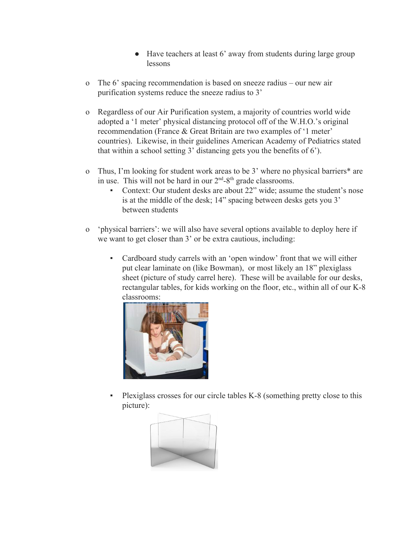- Have teachers at least 6' away from students during large group lessons
- o The 6' spacing recommendation is based on sneeze radius our new air purification systems reduce the sneeze radius to 3'
- o Regardless of our Air Purification system, a majority of countries world wide adopted a '1 meter' physical distancing protocol off of the W.H.O.'s original recommendation (France & Great Britain are two examples of '1 meter' countries). Likewise, in their guidelines American Academy of Pediatrics stated that within a school setting 3' distancing gets you the benefits of 6').
- o Thus, I'm looking for student work areas to be 3' where no physical barriers\* are in use. This will not be hard in our  $2<sup>nd</sup> - 8<sup>th</sup>$  grade classrooms.
	- Context: Our student desks are about 22" wide; assume the student's nose is at the middle of the desk; 14" spacing between desks gets you 3' between students
- o 'physical barriers': we will also have several options available to deploy here if we want to get closer than 3' or be extra cautious, including:
	- Cardboard study carrels with an 'open window' front that we will either put clear laminate on (like Bowman), or most likely an 18" plexiglass sheet (picture of study carrel here). These will be available for our desks, rectangular tables, for kids working on the floor, etc., within all of our K-8 classrooms:



Plexiglass crosses for our circle tables K-8 (something pretty close to this picture):